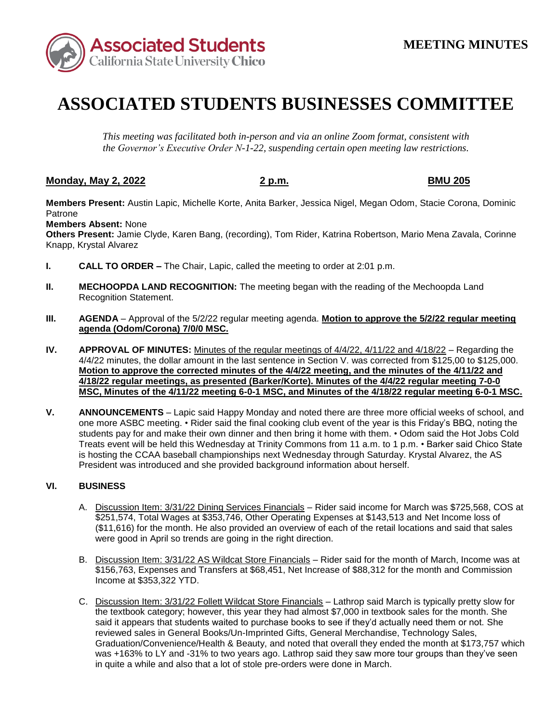

## **ASSOCIATED STUDENTS BUSINESSES COMMITTEE**

*This meeting was facilitated both in-person and via an online Zoom format, consistent with the Governor's Executive Order N-1-22, suspending certain open meeting law restrictions.* 

## **Monday, May 2, 2022 2 p.m. BMU 205**

 **Members Present:** Austin Lapic, Michelle Korte, Anita Barker, Jessica Nigel, Megan Odom, Stacie Corona, Dominic Patrone

**Members Absent:** None

**Others Present:** Jamie Clyde, Karen Bang, (recording), Tom Rider, Katrina Robertson, Mario Mena Zavala, Corinne Knapp, Krystal Alvarez

- **I. CALL TO ORDER –** The Chair, Lapic, called the meeting to order at 2:01 p.m.
- **II. MECHOOPDA LAND RECOGNITION:** The meeting began with the reading of the Mechoopda Land Recognition Statement.
- **III. AGENDA**  Approval of the 5/2/22 regular meeting agenda. **Motion to approve the 5/2/22 regular meeting agenda (Odom/Corona) 7/0/0 MSC.**
- **IV. APPROVAL OF MINUTES:** Minutes of the regular meetings of 4/4/22, 4/11/22 and 4/18/22 Regarding the 4/4/22 minutes, the dollar amount in the last sentence in Section V. was corrected from \$125,00 to \$125,000. **Motion to approve the corrected minutes of the 4/4/22 meeting, and the minutes of the 4/11/22 and 4/18/22 regular meetings, as presented (Barker/Korte). Minutes of the 4/4/22 regular meeting 7-0-0 MSC, Minutes of the 4/11/22 meeting 6-0-1 MSC, and Minutes of the 4/18/22 regular meeting 6-0-1 MSC.**
- is hosting the CCAA baseball championships next Wednesday through Saturday. Krystal Alvarez, the AS President was introduced and she provided background information about herself. **V. ANNOUNCEMENTS** – Lapic said Happy Monday and noted there are three more official weeks of school, and one more ASBC meeting. • Rider said the final cooking club event of the year is this Friday's BBQ, noting the students pay for and make their own dinner and then bring it home with them. • Odom said the Hot Jobs Cold Treats event will be held this Wednesday at Trinity Commons from 11 a.m. to 1 p.m. • Barker said Chico State

## **VI. BUSINESS**

- A. Discussion Item: 3/31/22 Dining Services Financials Rider said income for March was \$725,568, COS at \$251,574, Total Wages at \$353,746, Other Operating Expenses at \$143,513 and Net Income loss of \$251,574, Total Wages at \$353,746, Other Operating Expenses at \$143,513 and Net Income loss of (\$11,616) for the month. He also provided an overview of each of the retail locations and said that sales were good in April so trends are going in the right direction.
- B. Discussion Item: 3/31/22 AS Wildcat Store Financials Rider said for the month of March, Income was at \$156,763, Expenses and Transfers at \$68,451, Net Increase of \$88,312 for the month and Commission Income at \$353,322 YTD.
- C. Discussion Item: 3/31/22 Follett Wildcat Store Financials Lathrop said March is typically pretty slow for Graduation/Convenience/Health & Beauty, and noted that overall they ended the month at \$173,757 which in quite a while and also that a lot of stole pre-orders were done in March. the textbook category; however, this year they had almost \$7,000 in textbook sales for the month. She said it appears that students waited to purchase books to see if they'd actually need them or not. She reviewed sales in General Books/Un-Imprinted Gifts, General Merchandise, Technology Sales, was +163% to LY and -31% to two years ago. Lathrop said they saw more tour groups than they've seen